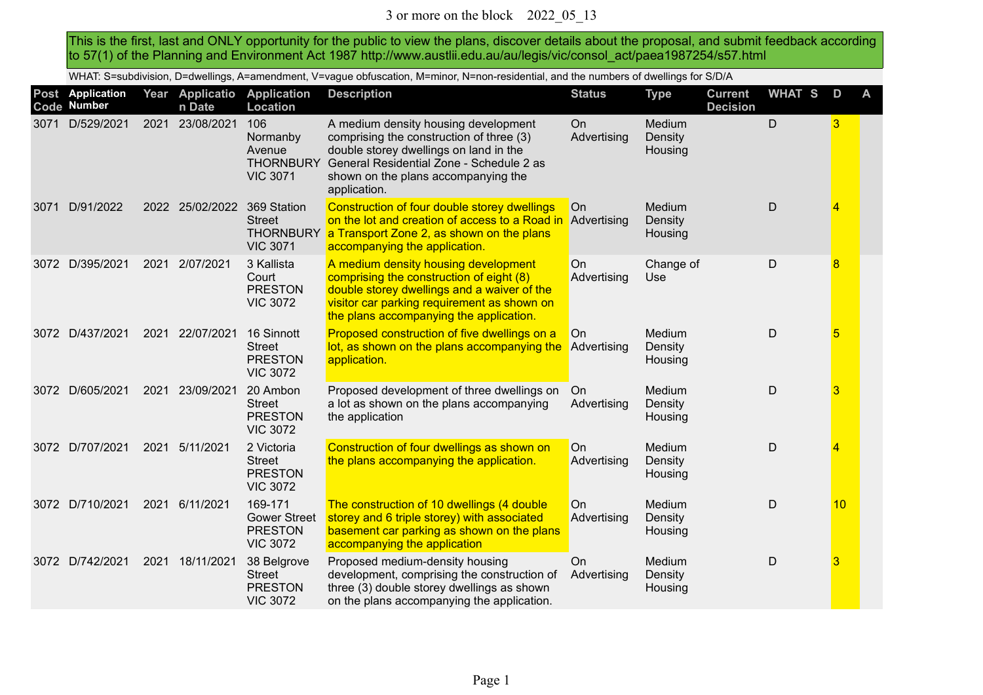This is the first, last and ONLY opportunity for the public to view the plans, discover details about the proposal, and submit feedback according to 57(1) of the Planning and Environment Act 1987 http://www.austlii.edu.au/au/legis/vic/consol\_act/paea1987254/s57.html

WHAT: S=subdivision, D=dwellings, A=amendment, V=vague obfuscation, M=minor, N=non-residential, and the numbers of dwellings for S/D/A

|      | Post Application<br>Code Number |      | Year Applicatio<br>n Date | <b>Application</b><br><b>Location</b>                               | <b>Description</b>                                                                                                                                                                                                            | <b>Status</b>            | <b>Type</b>                  | <b>Current</b><br><b>Decision</b> | WHAT S | D  | A |
|------|---------------------------------|------|---------------------------|---------------------------------------------------------------------|-------------------------------------------------------------------------------------------------------------------------------------------------------------------------------------------------------------------------------|--------------------------|------------------------------|-----------------------------------|--------|----|---|
| 3071 | D/529/2021                      | 2021 | 23/08/2021                | 106<br>Normanby<br>Avenue<br><b>THORNBURY</b><br><b>VIC 3071</b>    | A medium density housing development<br>comprising the construction of three (3)<br>double storey dwellings on land in the<br>General Residential Zone - Schedule 2 as<br>shown on the plans accompanying the<br>application. | <b>On</b><br>Advertising | Medium<br>Density<br>Housing |                                   | D      | 3  |   |
| 3071 | D/91/2022                       |      | 2022 25/02/2022           | 369 Station<br><b>Street</b><br><b>THORNBURY</b><br><b>VIC 3071</b> | Construction of four double storey dwellings<br>on the lot and creation of access to a Road in<br>a Transport Zone 2, as shown on the plans<br>accompanying the application.                                                  | On<br>Advertising        | Medium<br>Density<br>Housing |                                   | D      | 4  |   |
| 3072 | D/395/2021                      | 2021 | 2/07/2021                 | 3 Kallista<br>Court<br><b>PRESTON</b><br><b>VIC 3072</b>            | A medium density housing development<br>comprising the construction of eight (8)<br>double storey dwellings and a waiver of the<br>visitor car parking requirement as shown on<br>the plans accompanying the application.     | On<br>Advertising        | Change of<br>Use             |                                   | D      | 8  |   |
|      | 3072 D/437/2021                 | 2021 | 22/07/2021                | 16 Sinnott<br><b>Street</b><br><b>PRESTON</b><br><b>VIC 3072</b>    | Proposed construction of five dwellings on a<br>lot, as shown on the plans accompanying the<br>application.                                                                                                                   | On<br>Advertising        | Medium<br>Density<br>Housing |                                   | D      | 5  |   |
|      | 3072 D/605/2021                 | 2021 | 23/09/2021                | 20 Ambon<br><b>Street</b><br><b>PRESTON</b><br><b>VIC 3072</b>      | Proposed development of three dwellings on<br>a lot as shown on the plans accompanying<br>the application                                                                                                                     | On<br>Advertising        | Medium<br>Density<br>Housing |                                   | D      | 3  |   |
|      | 3072 D/707/2021                 | 2021 | 5/11/2021                 | 2 Victoria<br><b>Street</b><br><b>PRESTON</b><br><b>VIC 3072</b>    | Construction of four dwellings as shown on<br>the plans accompanying the application.                                                                                                                                         | On<br>Advertising        | Medium<br>Density<br>Housing |                                   | D      | 4  |   |
| 3072 | D/710/2021                      | 2021 | 6/11/2021                 | 169-171<br><b>Gower Street</b><br><b>PRESTON</b><br><b>VIC 3072</b> | The construction of 10 dwellings (4 double<br>storey and 6 triple storey) with associated<br>basement car parking as shown on the plans<br>accompanying the application                                                       | On<br>Advertising        | Medium<br>Density<br>Housing |                                   | D      | 10 |   |
|      | 3072 D/742/2021                 | 2021 | 18/11/2021                | 38 Belgrove<br><b>Street</b><br><b>PRESTON</b><br><b>VIC 3072</b>   | Proposed medium-density housing<br>development, comprising the construction of<br>three (3) double storey dwellings as shown<br>on the plans accompanying the application.                                                    | On<br>Advertising        | Medium<br>Density<br>Housing |                                   | D      | 3  |   |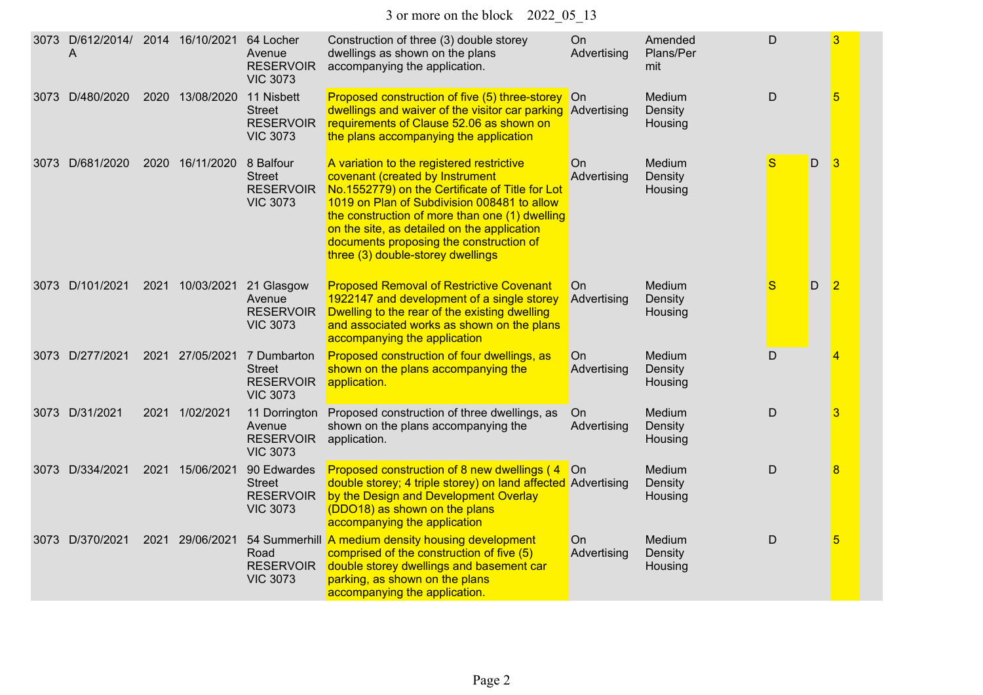| 3073 | D/612/2014/ 2014 16/10/2021<br>Α |      |                 | 64 Locher<br>Avenue<br><b>RESERVOIR</b><br><b>VIC 3073</b>          | Construction of three (3) double storey<br>dwellings as shown on the plans<br>accompanying the application.                                                                                                                                                                                                                                                     | On<br>Advertising | Amended<br>Plans/Per<br>mit  | D           |   | 3              |
|------|----------------------------------|------|-----------------|---------------------------------------------------------------------|-----------------------------------------------------------------------------------------------------------------------------------------------------------------------------------------------------------------------------------------------------------------------------------------------------------------------------------------------------------------|-------------------|------------------------------|-------------|---|----------------|
| 3073 | D/480/2020                       |      | 2020 13/08/2020 | 11 Nisbett<br><b>Street</b><br><b>RESERVOIR</b><br><b>VIC 3073</b>  | Proposed construction of five (5) three-storey On<br>dwellings and waiver of the visitor car parking Advertising<br>requirements of Clause 52.06 as shown on<br>the plans accompanying the application                                                                                                                                                          |                   | Medium<br>Density<br>Housing | D           |   | 5              |
|      | 3073 D/681/2020                  | 2020 | 16/11/2020      | 8 Balfour<br><b>Street</b><br><b>RESERVOIR</b><br><b>VIC 3073</b>   | A variation to the registered restrictive<br>covenant (created by Instrument<br>No.1552779) on the Certificate of Title for Lot<br>1019 on Plan of Subdivision 008481 to allow<br>the construction of more than one (1) dwelling<br>on the site, as detailed on the application<br>documents proposing the construction of<br>three (3) double-storey dwellings | On<br>Advertising | Medium<br>Density<br>Housing | S           | D | $\overline{3}$ |
|      | 3073 D/101/2021                  | 2021 | 10/03/2021      | 21 Glasgow<br>Avenue<br><b>RESERVOIR</b><br><b>VIC 3073</b>         | <b>Proposed Removal of Restrictive Covenant</b><br>1922147 and development of a single storey<br>Dwelling to the rear of the existing dwelling<br>and associated works as shown on the plans<br>accompanying the application                                                                                                                                    | On<br>Advertising | Medium<br>Density<br>Housing | S           | D | $\overline{2}$ |
|      | 3073 D/277/2021                  |      | 2021 27/05/2021 | 7 Dumbarton<br><b>Street</b><br><b>RESERVOIR</b><br><b>VIC 3073</b> | Proposed construction of four dwellings, as<br>shown on the plans accompanying the<br>application.                                                                                                                                                                                                                                                              | On<br>Advertising | Medium<br>Density<br>Housing | $\mathsf D$ |   | 4              |
|      | 3073 D/31/2021                   | 2021 | 1/02/2021       | 11 Dorrington<br>Avenue<br><b>RESERVOIR</b><br><b>VIC 3073</b>      | Proposed construction of three dwellings, as<br>shown on the plans accompanying the<br>application.                                                                                                                                                                                                                                                             | On<br>Advertising | Medium<br>Density<br>Housing | D           |   | 3              |
|      | 3073 D/334/2021                  | 2021 | 15/06/2021      | 90 Edwardes<br><b>Street</b><br><b>RESERVOIR</b><br><b>VIC 3073</b> | Proposed construction of 8 new dwellings (4<br>double storey; 4 triple storey) on land affected Advertising<br>by the Design and Development Overlay<br>(DDO18) as shown on the plans<br>accompanying the application                                                                                                                                           | <b>On</b>         | Medium<br>Density<br>Housing | D           |   | 8              |
|      | 3073 D/370/2021                  | 2021 | 29/06/2021      | Road<br><b>RESERVOIR</b><br><b>VIC 3073</b>                         | 54 Summerhill A medium density housing development<br>comprised of the construction of five (5)<br>double storey dwellings and basement car<br>parking, as shown on the plans<br>accompanying the application.                                                                                                                                                  | On<br>Advertising | Medium<br>Density<br>Housing | D           |   | 5              |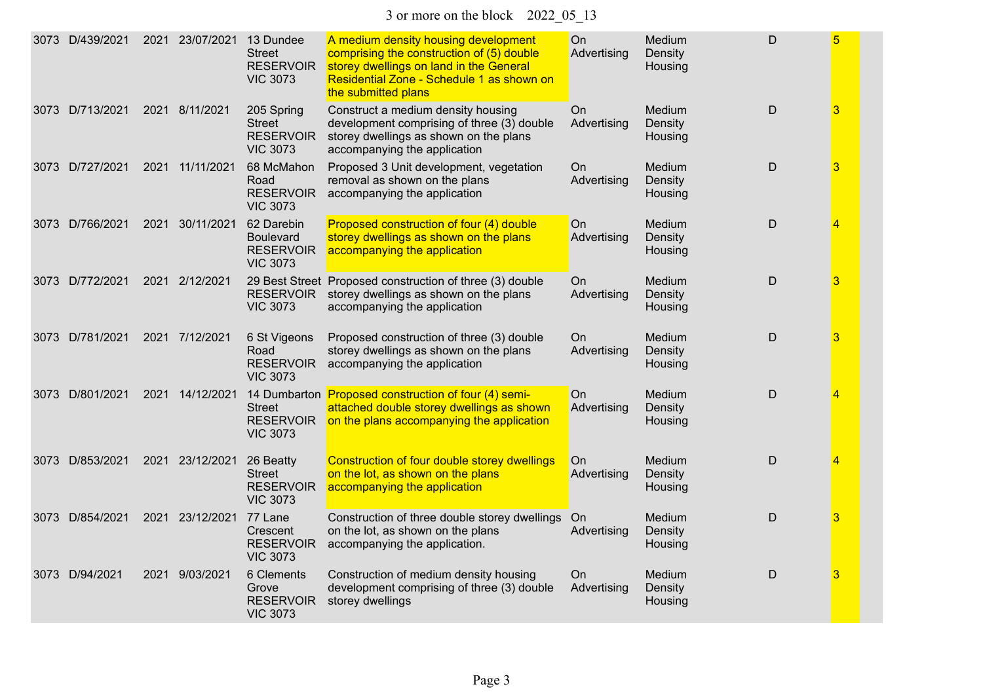3 or more on the block 2022\_05\_13

| 3073 | D/439/2021      | 2021 23/07/2021 | 13 Dundee<br><b>Street</b><br><b>RESERVOIR</b><br><b>VIC 3073</b>     | A medium density housing development<br>comprising the construction of (5) double<br>storey dwellings on land in the General<br>Residential Zone - Schedule 1 as shown on<br>the submitted plans | On<br>Advertising        | Medium<br>Density<br>Housing | D |   |
|------|-----------------|-----------------|-----------------------------------------------------------------------|--------------------------------------------------------------------------------------------------------------------------------------------------------------------------------------------------|--------------------------|------------------------------|---|---|
|      | 3073 D/713/2021 | 2021 8/11/2021  | 205 Spring<br><b>Street</b><br><b>RESERVOIR</b><br><b>VIC 3073</b>    | Construct a medium density housing<br>development comprising of three (3) double<br>storey dwellings as shown on the plans<br>accompanying the application                                       | On.<br>Advertising       | Medium<br>Density<br>Housing | D | 3 |
|      | 3073 D/727/2021 | 2021 11/11/2021 | 68 McMahon<br>Road<br><b>RESERVOIR</b><br><b>VIC 3073</b>             | Proposed 3 Unit development, vegetation<br>removal as shown on the plans<br>accompanying the application                                                                                         | On<br>Advertising        | Medium<br>Density<br>Housing | D | 3 |
|      | 3073 D/766/2021 | 2021 30/11/2021 | 62 Darebin<br><b>Boulevard</b><br><b>RESERVOIR</b><br><b>VIC 3073</b> | Proposed construction of four (4) double<br>storey dwellings as shown on the plans<br>accompanying the application                                                                               | On<br>Advertising        | Medium<br>Density<br>Housing | D | 4 |
|      | 3073 D/772/2021 | 2021 2/12/2021  | <b>RESERVOIR</b><br><b>VIC 3073</b>                                   | 29 Best Street Proposed construction of three (3) double<br>storey dwellings as shown on the plans<br>accompanying the application                                                               | On.<br>Advertising       | Medium<br>Density<br>Housing | D | 3 |
|      | 3073 D/781/2021 | 2021 7/12/2021  | 6 St Vigeons<br>Road<br><b>RESERVOIR</b><br><b>VIC 3073</b>           | Proposed construction of three (3) double<br>storey dwellings as shown on the plans<br>accompanying the application                                                                              | <b>On</b><br>Advertising | Medium<br>Density<br>Housing | D | 3 |
| 3073 | D/801/2021      | 2021 14/12/2021 | <b>Street</b><br><b>RESERVOIR</b><br><b>VIC 3073</b>                  | 14 Dumbarton Proposed construction of four (4) semi-<br>attached double storey dwellings as shown<br>on the plans accompanying the application                                                   | <b>On</b><br>Advertising | Medium<br>Density<br>Housing | D | 4 |
|      | 3073 D/853/2021 | 2021 23/12/2021 | 26 Beatty<br><b>Street</b><br><b>RESERVOIR</b><br><b>VIC 3073</b>     | Construction of four double storey dwellings<br>on the lot, as shown on the plans<br>accompanying the application                                                                                | On<br>Advertising        | Medium<br>Density<br>Housing | D | 4 |
| 3073 | D/854/2021      | 2021 23/12/2021 | 77 Lane<br>Crescent<br><b>RESERVOIR</b><br><b>VIC 3073</b>            | Construction of three double storey dwellings<br>on the lot, as shown on the plans<br>accompanying the application.                                                                              | On<br>Advertising        | Medium<br>Density<br>Housing | D | 3 |
|      | 3073 D/94/2021  | 2021 9/03/2021  | 6 Clements<br>Grove<br><b>RESERVOIR</b><br><b>VIC 3073</b>            | Construction of medium density housing<br>development comprising of three (3) double<br>storey dwellings                                                                                         | On.<br>Advertising       | Medium<br>Density<br>Housing | D | 3 |